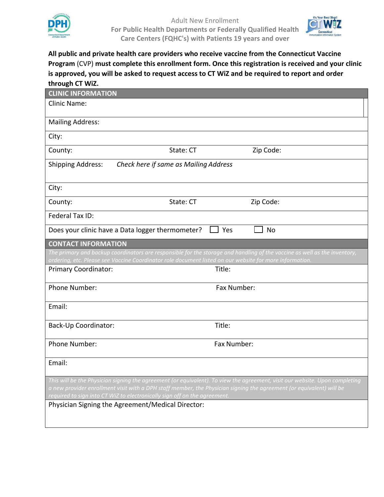



**All public and private health care providers who receive vaccine from the Connecticut Vaccine Program** (CVP) **must complete this enrollment form. Once this registration is received and your clinic is approved, you will be asked to request access to CT WiZ and be required to report and order through CT WiZ.** 

| <b>CLINIC INFORMATION</b>                                                                                                                                                                                                                           |                                                                                                         |             |                                                                                                                           |  |  |  |  |
|-----------------------------------------------------------------------------------------------------------------------------------------------------------------------------------------------------------------------------------------------------|---------------------------------------------------------------------------------------------------------|-------------|---------------------------------------------------------------------------------------------------------------------------|--|--|--|--|
| <b>Clinic Name:</b>                                                                                                                                                                                                                                 |                                                                                                         |             |                                                                                                                           |  |  |  |  |
|                                                                                                                                                                                                                                                     |                                                                                                         |             |                                                                                                                           |  |  |  |  |
| <b>Mailing Address:</b>                                                                                                                                                                                                                             |                                                                                                         |             |                                                                                                                           |  |  |  |  |
| City:                                                                                                                                                                                                                                               |                                                                                                         |             |                                                                                                                           |  |  |  |  |
| County:                                                                                                                                                                                                                                             | State: CT                                                                                               |             | Zip Code:                                                                                                                 |  |  |  |  |
| <b>Shipping Address:</b><br>Check here if same as Mailing Address                                                                                                                                                                                   |                                                                                                         |             |                                                                                                                           |  |  |  |  |
| City:                                                                                                                                                                                                                                               |                                                                                                         |             |                                                                                                                           |  |  |  |  |
| County:                                                                                                                                                                                                                                             | State: CT                                                                                               |             | Zip Code:                                                                                                                 |  |  |  |  |
| Federal Tax ID:                                                                                                                                                                                                                                     |                                                                                                         |             |                                                                                                                           |  |  |  |  |
|                                                                                                                                                                                                                                                     | Does your clinic have a Data logger thermometer?                                                        | Yes         | <b>No</b>                                                                                                                 |  |  |  |  |
| <b>CONTACT INFORMATION</b>                                                                                                                                                                                                                          |                                                                                                         |             |                                                                                                                           |  |  |  |  |
|                                                                                                                                                                                                                                                     | ordering, etc. Please see Vaccine Coordinator role document listed on our website for more information. |             | The primary and backup coordinators are responsible for the storage and handling of the vaccine as well as the inventory, |  |  |  |  |
| <b>Primary Coordinator:</b>                                                                                                                                                                                                                         |                                                                                                         | Title:      |                                                                                                                           |  |  |  |  |
| Phone Number:                                                                                                                                                                                                                                       |                                                                                                         | Fax Number: |                                                                                                                           |  |  |  |  |
| Email:                                                                                                                                                                                                                                              |                                                                                                         |             |                                                                                                                           |  |  |  |  |
| Back-Up Coordinator:                                                                                                                                                                                                                                |                                                                                                         | Title:      |                                                                                                                           |  |  |  |  |
| Phone Number:                                                                                                                                                                                                                                       |                                                                                                         | Fax Number: |                                                                                                                           |  |  |  |  |
| Email:                                                                                                                                                                                                                                              |                                                                                                         |             |                                                                                                                           |  |  |  |  |
| This will be the Physician signing the agreement (or equivalent). To view the agreement, visit our website. Upon completing<br>a new provider enrollment visit with a DPH staff member, the Physician signing the agreement (or equivalent) will be |                                                                                                         |             |                                                                                                                           |  |  |  |  |
| required to sign into CT WiZ to electronically sign off on the agreement.<br>Physician Signing the Agreement/Medical Director:                                                                                                                      |                                                                                                         |             |                                                                                                                           |  |  |  |  |
|                                                                                                                                                                                                                                                     |                                                                                                         |             |                                                                                                                           |  |  |  |  |
|                                                                                                                                                                                                                                                     |                                                                                                         |             |                                                                                                                           |  |  |  |  |